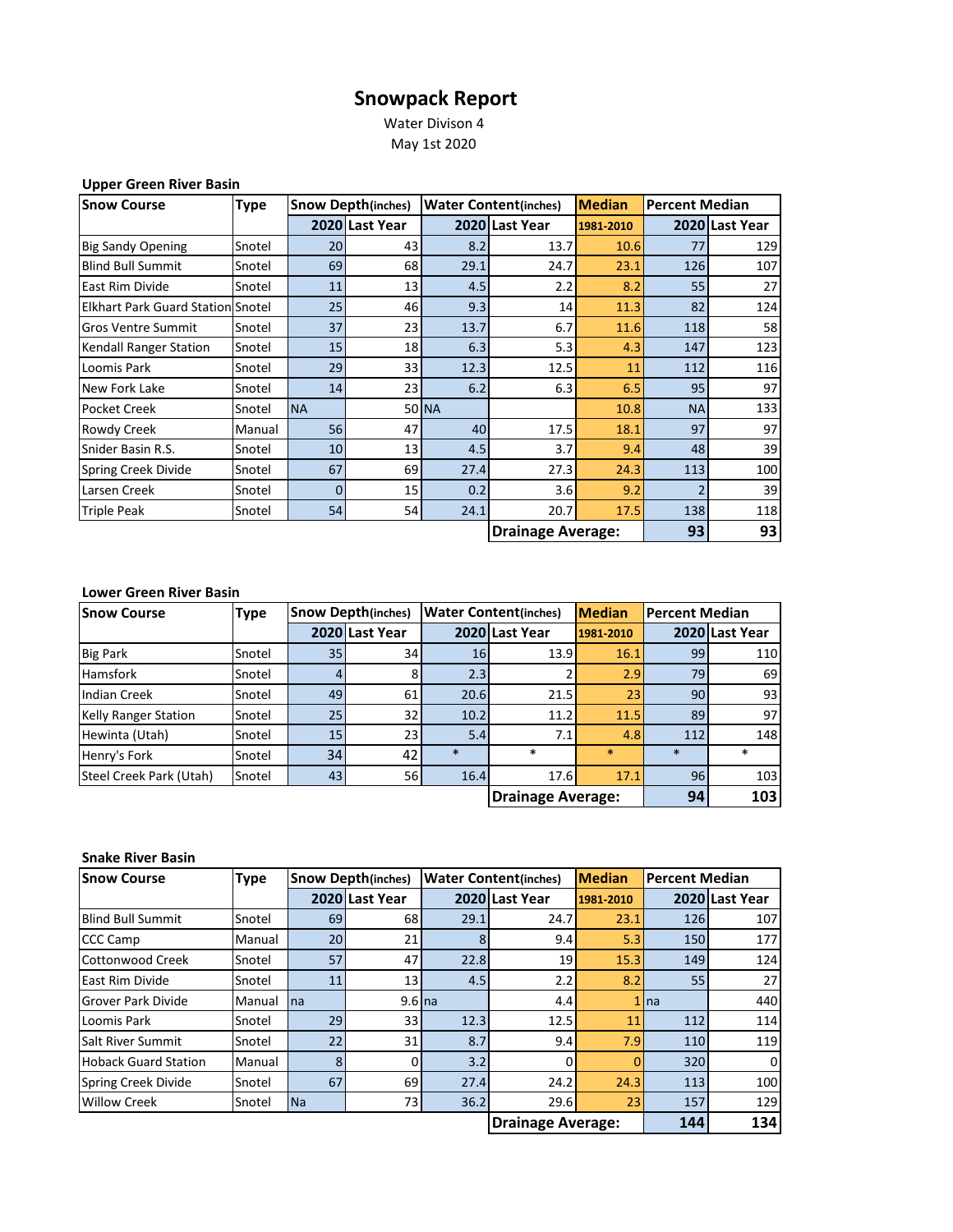## **Snowpack Report**

 Water Divison 4 May 1st 2020

| <b>Upper Green River Basin</b> |  |  |  |
|--------------------------------|--|--|--|
|--------------------------------|--|--|--|

| <b>Snow Course</b>                       | <b>Type</b> | <b>Snow Depth(inches)</b> |                | <b>Water Content(inches)</b><br><b>Median</b> |                          | <b>Percent Median</b> |           |                |
|------------------------------------------|-------------|---------------------------|----------------|-----------------------------------------------|--------------------------|-----------------------|-----------|----------------|
|                                          |             |                           | 2020 Last Year |                                               | 2020 Last Year           | 1981-2010             |           | 2020 Last Year |
| <b>Big Sandy Opening</b>                 | Snotel      | 20                        | 43             | 8.2                                           | 13.7                     | 10.6                  | 77        | 129            |
| <b>Blind Bull Summit</b>                 | Snotel      | 69                        | 68             | 29.1                                          | 24.7                     | 23.1                  | 126       | 107            |
| East Rim Divide                          | Snotel      | 11                        | 13             | 4.5                                           | 2.2                      | 8.2                   | 55        | 27             |
| <b>Elkhart Park Guard Station Snotel</b> |             | 25                        | 46             | 9.3                                           | 14 <sup>1</sup>          | 11.3                  | 82        | 124            |
| <b>Gros Ventre Summit</b>                | Snotel      | 37                        | 23             | 13.7                                          | 6.7                      | 11.6                  | 118       | 58             |
| <b>Kendall Ranger Station</b>            | Snotel      | 15                        | 18             | 6.3                                           | 5.3                      | 4.3                   | 147       | 123            |
| Loomis Park                              | Snotel      | 29                        | 33             | 12.3                                          | 12.5                     | 11                    | 112       | 116            |
| New Fork Lake                            | Snotel      | 14                        | 23             | 6.2                                           | 6.3                      | 6.5                   | 95        | 97             |
| Pocket Creek                             | Snotel      | <b>NA</b>                 |                | 50 NA                                         |                          | 10.8                  | <b>NA</b> | 133            |
| Rowdy Creek                              | Manual      | 56                        | 47             | 40                                            | 17.5                     | 18.1                  | 97        | 97             |
| Snider Basin R.S.                        | Snotel      | 10                        | 13             | 4.5                                           | 3.7                      | 9.4                   | 48        | 39             |
| Spring Creek Divide                      | Snotel      | 67                        | 69             | 27.4                                          | 27.3                     | 24.3                  | 113       | 100            |
| Larsen Creek                             | Snotel      | 0                         | 15             | 0.2                                           | 3.6                      | 9.2                   |           | 39             |
| <b>Triple Peak</b>                       | Snotel      | 54                        | 54             | 24.1                                          | 20.7                     | 17.5                  | 138       | 118            |
|                                          |             |                           |                |                                               | <b>Drainage Average:</b> |                       | 93        | 93             |

## **Lower Green River Basin**

| <b>Snow Course</b>          | <b>Type</b> |                 | <b>Snow Depth(inches)</b> |        | <b>Water Content(inches)</b> | <b>Median</b> | <b>Percent Median</b> |                |
|-----------------------------|-------------|-----------------|---------------------------|--------|------------------------------|---------------|-----------------------|----------------|
|                             |             |                 | 2020 Last Year            |        | 2020 Last Year               | 1981-2010     |                       | 2020 Last Year |
| <b>Big Park</b>             | Snotel      | 35 <sub>1</sub> | 34                        | 16     | 13.9                         | 16.1          | 99                    | 110            |
| <b>Hamsfork</b>             | Snotel      |                 | 81                        | 2.3    |                              | 2.9           | 79                    | 69             |
| <b>Indian Creek</b>         | Snotel      | 49              | 61                        | 20.6   | 21.5                         | 23            | 90                    | 93             |
| <b>Kelly Ranger Station</b> | Snotel      | 25              | 32                        | 10.2   | 11.2                         | 11.5          | 89                    | 97             |
| Hewinta (Utah)              | Snotel      | 15 <sup>1</sup> | 23                        | 5.4    | 7.1                          | 4.8           | 112                   | 148            |
| Henry's Fork                | Snotel      | 34              | 42                        | $\ast$ | $\ast$                       | $\ast$        | $\ast$                | $\ast$         |
| Steel Creek Park (Utah)     | Snotel      | 43              | 56                        | 16.4   | 17.6                         | 17.1          | 96 <sub>1</sub>       | 103            |
|                             |             |                 |                           |        | <b>Drainage Average:</b>     |               | 94                    | 103            |

## **Snake River Basin**

| <b>Snow Course</b>          | <b>Type</b> | <b>Snow Depth(inches)</b> |                 | <b>Water Content(inches)</b> | <b>Median</b>            | <b>Percent Median</b> |                 |                |
|-----------------------------|-------------|---------------------------|-----------------|------------------------------|--------------------------|-----------------------|-----------------|----------------|
|                             |             |                           | 2020 Last Year  |                              | 2020 Last Year           | 1981-2010             |                 | 2020 Last Year |
| <b>Blind Bull Summit</b>    | Snotel      | 69                        | 68              | 29.1                         | 24.7                     | 23.1                  | 126             | 107            |
| <b>CCC Camp</b>             | Manual      | 20                        | 21              |                              | 9.4                      | 5.3                   | 150             | 177            |
| Cottonwood Creek            | Snotel      | 57                        | 47              | 22.8                         | 19                       | 15.3                  | 149             | 124            |
| East Rim Divide             | Snotel      | 11                        | 13 <sup>1</sup> | 4.5                          | 2.2                      | 8.2                   | 55 <sub>1</sub> | 27             |
| <b>Grover Park Divide</b>   | Manual      | na                        | $9.6$ na        |                              | 4.4                      |                       | $1$ Ina         | 440            |
| Loomis Park                 | Snotel      | 29                        | 33              | 12.3                         | 12.5                     | 11                    | 112             | 114            |
| Salt River Summit           | Snotel      | 22                        | 31              | 8.7                          | 9.4                      | 7.9                   | 110             | 119            |
| <b>Hoback Guard Station</b> | Manual      | 8                         | $\Omega$        | 3.2                          | 0                        |                       | 320             | 0              |
| Spring Creek Divide         | Snotel      | 67                        | 69              | 27.4                         | 24.2                     | 24.3                  | 113             | 100            |
| <b>Willow Creek</b>         | Snotel      | Na                        | 73              | 36.2                         | 29.6                     | 23                    | 157             | 129            |
|                             |             |                           |                 |                              | <b>Drainage Average:</b> |                       | 144             | 134            |